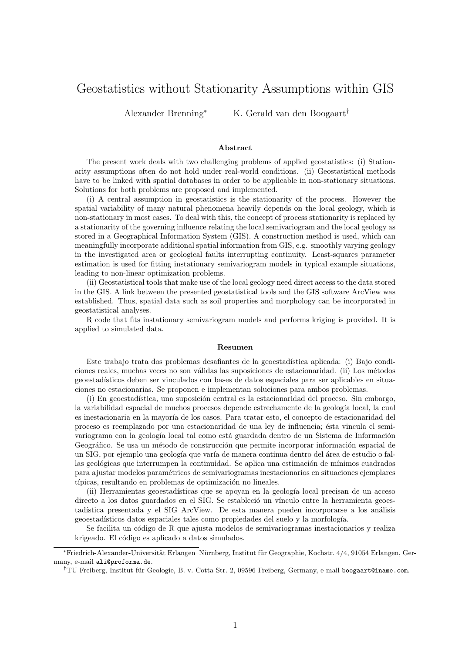# Geostatistics without Stationarity Assumptions within GIS

Alexander Brenning<sup>∗</sup> K. Gerald van den Boogaart†

#### Abstract

The present work deals with two challenging problems of applied geostatistics: (i) Stationarity assumptions often do not hold under real-world conditions. (ii) Geostatistical methods have to be linked with spatial databases in order to be applicable in non-stationary situations. Solutions for both problems are proposed and implemented.

(i) A central assumption in geostatistics is the stationarity of the process. However the spatial variability of many natural phenomena heavily depends on the local geology, which is non-stationary in most cases. To deal with this, the concept of process stationarity is replaced by a stationarity of the governing influence relating the local semivariogram and the local geology as stored in a Geographical Information System (GIS). A construction method is used, which can meaningfully incorporate additional spatial information from GIS, e.g. smoothly varying geology in the investigated area or geological faults interrupting continuity. Least-squares parameter estimation is used for fitting instationary semivariogram models in typical example situations, leading to non-linear optimization problems.

(ii) Geostatistical tools that make use of the local geology need direct access to the data stored in the GIS. A link between the presented geostatistical tools and the GIS software ArcView was established. Thus, spatial data such as soil properties and morphology can be incorporated in geostatistical analyses.

R code that fits instationary semivariogram models and performs kriging is provided. It is applied to simulated data.

#### Resumen

Este trabajo trata dos problemas desafiantes de la geoestadística aplicada: (i) Bajo condiciones reales, muchas veces no son válidas las suposiciones de estacionaridad. (ii) Los métodos geoestadísticos deben ser vinculados con bases de datos espaciales para ser aplicables en situaciones no estacionarias. Se proponen e implementan soluciones para ambos problemas.

(i) En geoestadística, una suposición central es la estacionaridad del proceso. Sin embargo, la variabilidad espacial de muchos procesos depende estrechamente de la geología local, la cual es inestacionaria en la mayoría de los casos. Para tratar esto, el concepto de estacionaridad del proceso es reemplazado por una estacionaridad de una ley de influencia; ésta vincula el semivariograma con la geología local tal como está guardada dentro de un Sistema de Información Geográfico. Se usa un método de construcción que permite incorporar información espacial de un SIG, por ejemplo una geología que varía de manera contínua dentro del área de estudio o fallas geológicas que interrumpen la continuidad. Se aplica una estimación de mínimos cuadrados para ajustar modelos param´etricos de semivariogramas inestacionarios en situaciones ejemplares típicas, resultando en problemas de optimización no lineales.

(ii) Herramientas geoestad´ısticas que se apoyan en la geolog´ıa local precisan de un acceso directo a los datos guardados en el SIG. Se estableció un vínculo entre la herramienta geoestadística presentada y el SIG ArcView. De esta manera pueden incorporarse a los análisis geoestadísticos datos espaciales tales como propiedades del suelo y la morfología.

Se facilita un código de R que ajusta modelos de semivariogramas inestacionarios y realiza krigeado. El código es aplicado a datos simulados.

<sup>∗</sup>Friedrich-Alexander-Universit¨at Erlangen–N¨urnberg, Institut f¨ur Geographie, Kochstr. 4/4, 91054 Erlangen, Germany, e-mail ali@proforma.de.

<sup>&</sup>lt;sup>†</sup>TU Freiberg, Institut für Geologie, B.-v.-Cotta-Str. 2, 09596 Freiberg, Germany, e-mail boogaart@iname.com.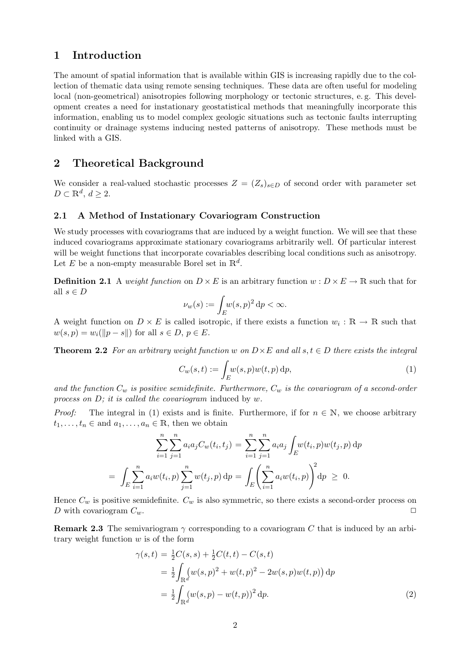## 1 Introduction

The amount of spatial information that is available within GIS is increasing rapidly due to the collection of thematic data using remote sensing techniques. These data are often useful for modeling local (non-geometrical) anisotropies following morphology or tectonic structures, e.g. This development creates a need for instationary geostatistical methods that meaningfully incorporate this information, enabling us to model complex geologic situations such as tectonic faults interrupting continuity or drainage systems inducing nested patterns of anisotropy. These methods must be linked with a GIS.

## 2 Theoretical Background

We consider a real-valued stochastic processes  $Z = (Z_s)_{s \in D}$  of second order with parameter set  $D \subset \mathbb{R}^d, d \geq 2.$ 

### 2.1 A Method of Instationary Covariogram Construction

We study processes with covariograms that are induced by a weight function. We will see that these induced covariograms approximate stationary covariograms arbitrarily well. Of particular interest will be weight functions that incorporate covariables describing local conditions such as anisotropy. Let E be a non-empty measurable Borel set in  $\mathbb{R}^d$ .

**Definition 2.1** A weight function on  $D \times E$  is an arbitrary function  $w : D \times E \to \mathbb{R}$  such that for all  $s \in D$ 

$$
\nu_w(s) := \int_E w(s, p)^2 \, dp < \infty.
$$

A weight function on  $D \times E$  is called isotropic, if there exists a function  $w_i : \mathbb{R} \to \mathbb{R}$  such that  $w(s, p) = w_i(||p - s||)$  for all  $s \in D, p \in E$ .

**Theorem 2.2** For an arbitrary weight function w on  $D \times E$  and all  $s, t \in D$  there exists the integral

$$
C_w(s,t) := \int_E w(s,p)w(t,p) \,dp,\tag{1}
$$

and the function  $C_w$  is positive semidefinite. Furthermore,  $C_w$  is the covariogram of a second-order process on D; it is called the covariogram induced by w.

*Proof:* The integral in (1) exists and is finite. Furthermore, if for  $n \in \mathbb{N}$ , we choose arbitrary  $t_1, \ldots, t_n \in \text{and } a_1, \ldots, a_n \in \mathbb{R}$ , then we obtain

$$
\sum_{i=1}^{n} \sum_{j=1}^{n} a_i a_j C_w(t_i, t_j) = \sum_{i=1}^{n} \sum_{j=1}^{n} a_i a_j \int_E w(t_i, p) w(t_j, p) dp
$$
  
= 
$$
\int_E \sum_{i=1}^{n} a_i w(t_i, p) \sum_{j=1}^{n} w(t_j, p) dp = \int_E \left(\sum_{i=1}^{n} a_i w(t_i, p)\right)^2 dp \ge 0.
$$

Hence  $C_w$  is positive semidefinite.  $C_w$  is also symmetric, so there exists a second-order process on D with covariogram  $C_w$ .

**Remark 2.3** The semivariogram  $\gamma$  corresponding to a covariogram C that is induced by an arbitrary weight function  $w$  is of the form

$$
\gamma(s,t) = \frac{1}{2}C(s,s) + \frac{1}{2}C(t,t) - C(s,t)
$$
  
= 
$$
\frac{1}{2} \int_{\mathbb{R}^d} (w(s,p)^2 + w(t,p)^2 - 2w(s,p)w(t,p)) \,dp
$$
  
= 
$$
\frac{1}{2} \int_{\mathbb{R}^d} (w(s,p) - w(t,p))^2 \,dp.
$$
 (2)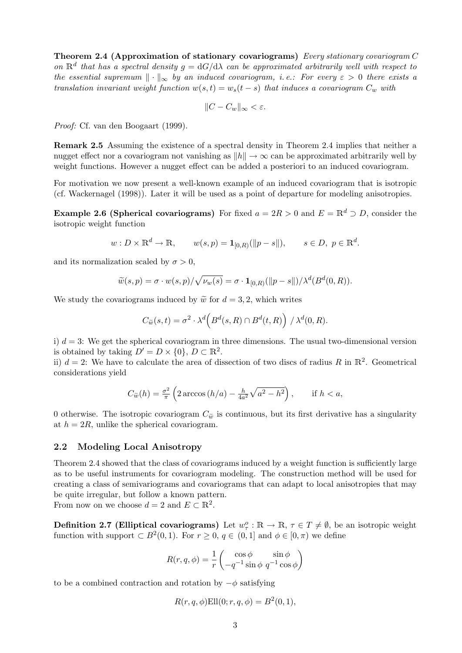Theorem 2.4 (Approximation of stationary covariograms) Every stationary covariogram C on  $\mathbb{R}^d$  that has a spectral density  $g = dG/d\lambda$  can be approximated arbitrarily well with respect to the essential supremum  $\|\cdot\|_{\infty}$  by an induced covariogram, i.e.: For every  $\varepsilon > 0$  there exists a translation invariant weight function  $w(s,t) = w_s(t-s)$  that induces a covariogram  $C_w$  with

$$
||C - C_w||_{\infty} < \varepsilon.
$$

Proof: Cf. van den Boogaart (1999).

Remark 2.5 Assuming the existence of a spectral density in Theorem 2.4 implies that neither a nugget effect nor a covariogram not vanishing as  $||h|| \to \infty$  can be approximated arbitrarily well by weight functions. However a nugget effect can be added a posteriori to an induced covariogram.

For motivation we now present a well-known example of an induced covariogram that is isotropic (cf. Wackernagel (1998)). Later it will be used as a point of departure for modeling anisotropies.

**Example 2.6 (Spherical covariograms)** For fixed  $a = 2R > 0$  and  $E = \mathbb{R}^d \supset D$ , consider the isotropic weight function

$$
w: D \times \mathbb{R}^d \to \mathbb{R}, \qquad w(s,p) = \mathbf{1}_{[0,R)}(||p-s||), \qquad s \in D, \ p \in \mathbb{R}^d.
$$

and its normalization scaled by  $\sigma > 0$ ,

$$
\widetilde{w}(s,p) = \sigma \cdot w(s,p) / \sqrt{\nu_w(s)} = \sigma \cdot \mathbf{1}_{[0,R)}(||p-s||) / \lambda^d(B^d(0,R)).
$$

We study the covariograms induced by  $\tilde{w}$  for  $d = 3, 2$ , which writes

$$
C_{\widetilde{w}}(s,t) = \sigma^2 \cdot \lambda^d \Big( B^d(s,R) \cap B^d(t,R) \Big) / \lambda^d(0,R).
$$

i)  $d = 3$ : We get the spherical covariogram in three dimensions. The usual two-dimensional version is obtained by taking  $D' = D \times \{0\}, D \subset \mathbb{R}^2$ .

ii)  $d = 2$ : We have to calculate the area of dissection of two discs of radius R in  $\mathbb{R}^2$ . Geometrical considerations yield

$$
C_{\widetilde{w}}(h) = \frac{\sigma^2}{\pi} \left( 2 \arccos\left(\frac{h}{a}\right) - \frac{h}{4a^2} \sqrt{a^2 - h^2} \right), \quad \text{if } h < a,
$$

0 otherwise. The isotropic covariogram  $C_{\tilde{w}}$  is continuous, but its first derivative has a singularity at  $h = 2R$ , unlike the spherical covariogram.

#### 2.2 Modeling Local Anisotropy

Theorem 2.4 showed that the class of covariograms induced by a weight function is sufficiently large as to be useful instruments for covariogram modeling. The construction method will be used for creating a class of semivariograms and covariograms that can adapt to local anisotropies that may be quite irregular, but follow a known pattern. From now on we choose  $d = 2$  and  $E \subset \mathbb{R}^2$ .

**Definition 2.7 (Elliptical covariograms)** Let  $w_{\tau}^o : \mathbb{R} \to \mathbb{R}, \tau \in T \neq \emptyset$ , be an isotropic weight function with support  $\subset B^2(0,1)$ . For  $r \geq 0, q \in (0,1]$  and  $\phi \in [0,\pi)$  we define

$$
R(r, q, \phi) = \frac{1}{r} \begin{pmatrix} \cos \phi & \sin \phi \\ -q^{-1} \sin \phi & q^{-1} \cos \phi \end{pmatrix}
$$

to be a combined contraction and rotation by  $-\phi$  satisfying

$$
R(r, q, \phi) \text{Ell}(0; r, q, \phi) = B^{2}(0, 1),
$$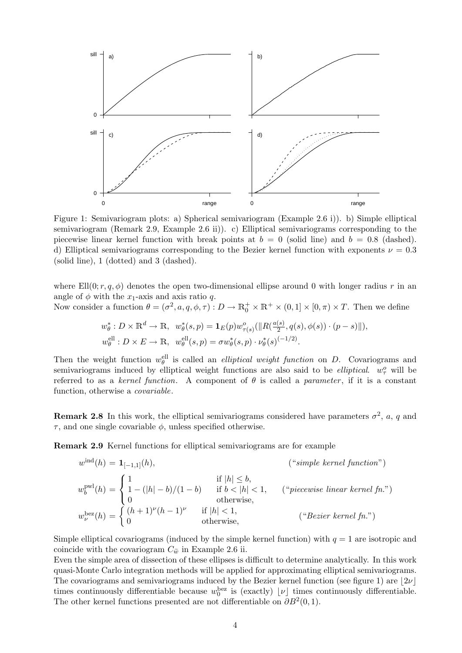

Figure 1: Semivariogram plots: a) Spherical semivariogram (Example 2.6 i)). b) Simple elliptical semivariogram (Remark 2.9, Example 2.6 ii)). c) Elliptical semivariograms corresponding to the piecewise linear kernel function with break points at  $b = 0$  (solid line) and  $b = 0.8$  (dashed). d) Elliptical semivariograms corresponding to the Bezier kernel function with exponents  $\nu = 0.3$ (solid line), 1 (dotted) and 3 (dashed).

where  $Ell(0; r, q, \phi)$  denotes the open two-dimensional ellipse around 0 with longer radius r in an angle of  $\phi$  with the  $x_1$ -axis and axis ratio q. Now consider a function  $\theta = (\sigma^2, a, q, \phi, \tau) : D \to \mathbb{R}_0^+ \times \mathbb{R}^+ \times (0, 1] \times [0, \pi) \times T$ . Then we define

$$
\mathbf{L}(\mathbf{y}, \mathbf{u}) \times \mathbf{L}(\mathbf{y}, \mathbf{u}) \times \mathbf{L}(\mathbf{y}, \mathbf{u}) \times \mathbf{L}(\mathbf{y}, \mathbf{u}) \times \mathbf{L}(\mathbf{y}, \mathbf{u}) \times \mathbf{L}(\mathbf{y}, \mathbf{u}) \times \mathbf{L}(\mathbf{y}, \mathbf{u}) \times \mathbf{L}(\mathbf{y}, \mathbf{u}) \times \mathbf{L}(\mathbf{y}, \mathbf{u}) \times \mathbf{L}(\mathbf{y}, \mathbf{u}) \times \mathbf{L}(\mathbf{y}, \mathbf{u}) \times \mathbf{L}(\mathbf{y}, \mathbf{u}) \times \mathbf{L}(\mathbf{y}, \mathbf{u}) \times \mathbf{L}(\mathbf{y}, \mathbf{u}) \times \mathbf{L}(\mathbf{y}, \mathbf{u}) \times \mathbf{L}(\mathbf{y}, \mathbf{u}) \times \mathbf{L}(\mathbf{y}, \mathbf{u}) \times \mathbf{L}(\mathbf{y}, \mathbf{u}) \times \mathbf{L}(\mathbf{y}, \mathbf{u}) \times \mathbf{L}(\mathbf{y}, \mathbf{u}) \times \mathbf{L}(\mathbf{y}, \mathbf{u}) \times \mathbf{L}(\mathbf{y}, \mathbf{u}) \times \mathbf{L}(\mathbf{y}, \mathbf{u}) \times \mathbf{L}(\mathbf{y}, \mathbf{u}) \times \mathbf{L}(\mathbf{y}, \mathbf{u}) \times \mathbf{L}(\mathbf{y}, \mathbf{u}) \times \mathbf{L}(\mathbf{y}, \mathbf{u}) \times \mathbf{L}(\mathbf{y}, \mathbf{u}) \times \mathbf{L}(\mathbf{y}, \mathbf{u}) \times \mathbf{L}(\mathbf{y}, \mathbf{u}) \times \mathbf{L}(\mathbf{y}, \mathbf{u}) \times \mathbf{L}(\mathbf{y}, \mathbf{u}) \times \mathbf{L}(\mathbf{y}, \mathbf{u}) \times \mathbf{L}(\mathbf{y}, \mathbf{u}) \times \mathbf{L}(\mathbf{y}, \mathbf{u}) \times \mathbf{L}(\mathbf{y}, \mathbf{u}) \times \mathbf{L}(\mathbf{y}, \mathbf{u}) \times \mathbf{L}(\mathbf{y}, \mathbf{u}) \times
$$

$$
w_{\theta}^*: D \times \mathbb{R}^d \to \mathbb{R}, \quad w_{\theta}^*(s, p) = \mathbf{1}_E(p) w_{\tau(s)}^o(||R(\frac{a(s)}{2}, q(s), \phi(s)) \cdot (p - s)||),
$$
  

$$
w_{\theta}^{\text{ell}}: D \times E \to \mathbb{R}, \quad w_{\theta}^{\text{ell}}(s, p) = \sigma w_{\theta}^*(s, p) \cdot \nu_{\theta}^*(s)^{(-1/2)}.
$$

Then the weight function  $w_{\theta}^{\text{ell}}$  is called an *elliptical weight function* on D. Covariograms and semivariograms induced by elliptical weight functions are also said to be *elliptical.*  $w_{\tau}^o$  will be referred to as a kernel function. A component of  $\theta$  is called a parameter, if it is a constant function, otherwise a covariable.

**Remark 2.8** In this work, the elliptical semivariograms considered have parameters  $\sigma^2$ , a, q and  $\tau$ , and one single covariable  $\phi$ , unless specified otherwise.

Remark 2.9 Kernel functions for elliptical semivariograms are for example

$$
w^{\text{ind}}(h) = \mathbf{1}_{[-1,1]}(h), \qquad \text{(``simple kernel function'')}
$$
\n
$$
w_b^{\text{pwl}}(h) = \begin{cases} 1 & \text{if } |h| \le b, \\ 1 - (|h| - b)/(1 - b) & \text{if } b < |h| < 1, \\ 0 & \text{otherwise,} \end{cases} \qquad \text{(``piecewise linear kernel fm.")}
$$
\n
$$
w_v^{\text{bez}}(h) = \begin{cases} (h+1)^{\nu}(h-1)^{\nu} & \text{if } |h| < 1, \\ 0 & \text{otherwise,} \end{cases} \qquad \text{(``Bezier kernel fn.")}
$$

Simple elliptical covariograms (induced by the simple kernel function) with  $q = 1$  are isotropic and coincide with the covariogram  $C_{\tilde{w}}$  in Example 2.6 ii.

Even the simple area of dissection of these ellipses is difficult to determine analytically. In this work quasi-Monte Carlo integration methods will be applied for approximating elliptical semivariograms. The covariograms and semivariograms induced by the Bezier kernel function (see figure 1) are  $|2\nu|$ times continuously differentiable because  $w_0^{\text{bez}}$  is (exactly)  $\lfloor \nu \rfloor$  times continuously differentiable. The other kernel functions presented are not differentiable on  $\partial B^2(0,1)$ .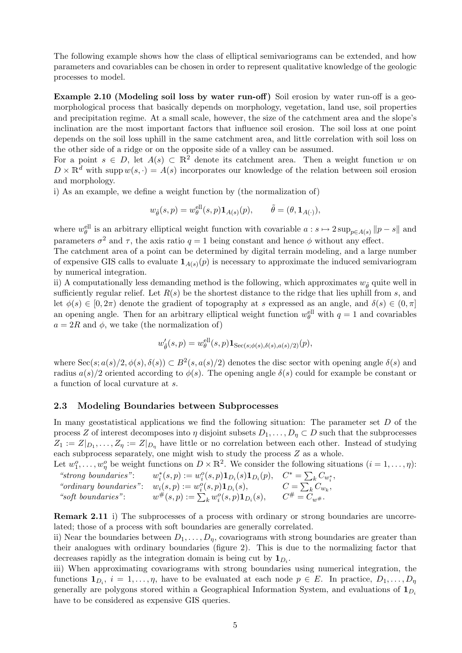The following example shows how the class of elliptical semivariograms can be extended, and how parameters and covariables can be chosen in order to represent qualitative knowledge of the geologic processes to model.

Example 2.10 (Modeling soil loss by water run-off) Soil erosion by water run-off is a geomorphological process that basically depends on morphology, vegetation, land use, soil properties and precipitation regime. At a small scale, however, the size of the catchment area and the slope's inclination are the most important factors that influence soil erosion. The soil loss at one point depends on the soil loss uphill in the same catchment area, and little correlation with soil loss on the other side of a ridge or on the opposite side of a valley can be assumed.

For a point  $s \in D$ , let  $A(s) \subset \mathbb{R}^2$  denote its catchment area. Then a weight function w on  $D \times \mathbb{R}^d$  with supp  $w(s, \cdot) = A(s)$  incorporates our knowledge of the relation between soil erosion and morphology.

i) As an example, we define a weight function by (the normalization of)

$$
w_{\tilde{\theta}}(s,p) = w_{\theta}^{\text{ell}}(s,p) \mathbf{1}_{A(s)}(p), \qquad \tilde{\theta} = (\theta, \mathbf{1}_{A(\cdot)}),
$$

where  $w_{\theta}^{\text{ell}}$  is an arbitrary elliptical weight function with covariable  $a : s \mapsto 2 \sup_{p \in A(s)} ||p - s||$  and parameters  $\sigma^2$  and  $\tau$ , the axis ratio  $q=1$  being constant and hence  $\phi$  without any effect.

The catchment area of a point can be determined by digital terrain modeling, and a large number of expensive GIS calls to evaluate  $\mathbf{1}_{A(s)}(p)$  is necessary to approximate the induced semivariogram by numerical integration.

ii) A computationally less demanding method is the following, which approximates  $w_{\tilde{\theta}}$  quite well in sufficiently regular relief. Let  $R(s)$  be the shortest distance to the ridge that lies uphill from s, and let  $\phi(s) \in [0, 2\pi)$  denote the gradient of topography at s expressed as an angle, and  $\delta(s) \in (0, \pi]$ an opening angle. Then for an arbitrary elliptical weight function  $w_{\theta}^{\text{ell}}$  with  $q = 1$  and covariables  $a = 2R$  and  $\phi$ , we take (the normalization of)

$$
w_{\tilde{\theta}}'(s,p) = w_{\theta}^{\mathrm{ell}}(s,p) \mathbf{1}_{\mathrm{Sec}(s; \phi(s), \delta(s), a(s)/2)}(p),
$$

where  $\operatorname{Sec}(s; a(s)/2, \phi(s), \delta(s)) \subset B^2(s, a(s)/2)$  denotes the disc sector with opening angle  $\delta(s)$  and radius  $a(s)/2$  oriented according to  $\phi(s)$ . The opening angle  $\delta(s)$  could for example be constant or a function of local curvature at s.

#### 2.3 Modeling Boundaries between Subprocesses

In many geostatistical applications we find the following situation: The parameter set  $D$  of the process Z of interest decomposes into  $\eta$  disjoint subsets  $D_1, \ldots, D_\eta \subset D$  such that the subprocesses  $Z_1 := Z|_{D_1}, \ldots, Z_{\eta} := Z|_{D_{\eta}}$  have little or no correlation between each other. Instead of studying each subprocess separately, one might wish to study the process Z as a whole.

Let  $w_1^o, \ldots, w_\eta^o$  be weight functions on  $D \times \mathbb{R}^2$ . We consider the following situations  $(i = 1, \ldots, \eta)$ :

| "strong boundaries":   | $w_i^*(s, p) := w_i^o(s, p) \mathbf{1}_{D_i}(s) \mathbf{1}_{D_i}(p),$ | $C^* = \sum_k C_{w_i^*},$ |
|------------------------|-----------------------------------------------------------------------|---------------------------|
| "ordinary boundaries": | $w_i(s,p) := w_i^o(s,p) \mathbf{1}_{D_i}(s),$                         | $C = \sum_k C_{w_k},$     |
| "soft boundaries":     | $w^{\#}(s,p) := \sum_{k} w_i^o(s,p) \mathbf{1}_{D_i}(s),$             | $C^{\#} = C_{w^{\#}}.$    |

Remark 2.11 i) The subprocesses of a process with ordinary or strong boundaries are uncorrelated; those of a process with soft boundaries are generally correlated.

ii) Near the boundaries between  $D_1, \ldots, D_{\eta}$ , covariograms with strong boundaries are greater than their analogues with ordinary boundaries (figure 2). This is due to the normalizing factor that decreases rapidly as the integration domain is being cut by  $\mathbf{1}_{D_i}$ .

iii) When approximating covariograms with strong boundaries using numerical integration, the functions  $\mathbf{1}_{D_i}$ ,  $i = 1, \ldots, \eta$ , have to be evaluated at each node  $p \in E$ . In practice,  $D_1, \ldots, D_{\eta}$ generally are polygons stored within a Geographical Information System, and evaluations of  $\mathbf{1}_{D_i}$ have to be considered as expensive GIS queries.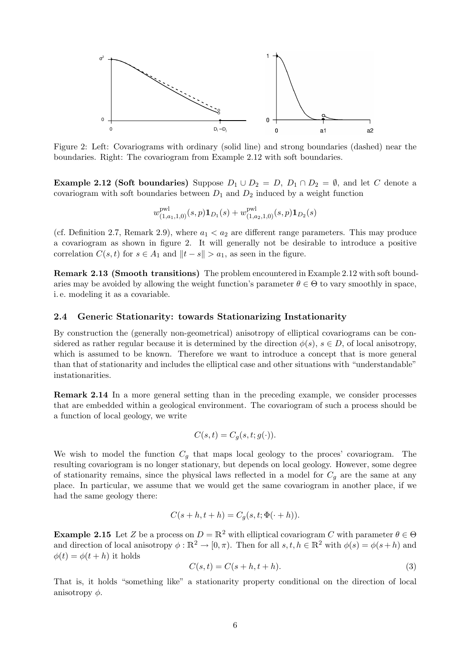

Figure 2: Left: Covariograms with ordinary (solid line) and strong boundaries (dashed) near the boundaries. Right: The covariogram from Example 2.12 with soft boundaries.

Example 2.12 (Soft boundaries) Suppose  $D_1 \cup D_2 = D$ ,  $D_1 \cap D_2 = \emptyset$ , and let C denote a covariogram with soft boundaries between  $D_1$  and  $D_2$  induced by a weight function

$$
w^{\text{pwl}}_{(1,a_1,1,0)}(s,p)\mathbf{1}_{D_1}(s)+w^{\text{pwl}}_{(1,a_2,1,0)}(s,p)\mathbf{1}_{D_2}(s)
$$

(cf. Definition 2.7, Remark 2.9), where  $a_1 < a_2$  are different range parameters. This may produce a covariogram as shown in figure 2. It will generally not be desirable to introduce a positive correlation  $C(s, t)$  for  $s \in A_1$  and  $||t - s|| > a_1$ , as seen in the figure.

Remark 2.13 (Smooth transitions) The problem encountered in Example 2.12 with soft boundaries may be avoided by allowing the weight function's parameter  $\theta \in \Theta$  to vary smoothly in space, i. e. modeling it as a covariable.

#### 2.4 Generic Stationarity: towards Stationarizing Instationarity

By construction the (generally non-geometrical) anisotropy of elliptical covariograms can be considered as rather regular because it is determined by the direction  $\phi(s)$ ,  $s \in D$ , of local anisotropy, which is assumed to be known. Therefore we want to introduce a concept that is more general than that of stationarity and includes the elliptical case and other situations with "understandable" instationarities.

Remark 2.14 In a more general setting than in the preceding example, we consider processes that are embedded within a geological environment. The covariogram of such a process should be a function of local geology, we write

$$
C(s,t) = C_g(s,t;g(\cdot)).
$$

We wish to model the function  $C_q$  that maps local geology to the proces' covariogram. The resulting covariogram is no longer stationary, but depends on local geology. However, some degree of stationarity remains, since the physical laws reflected in a model for  $C_q$  are the same at any place. In particular, we assume that we would get the same covariogram in another place, if we had the same geology there:

$$
C(s+h, t+h) = C_g(s, t; \Phi(\cdot + h)).
$$

**Example 2.15** Let Z be a process on  $D = \mathbb{R}^2$  with elliptical covariogram C with parameter  $\theta \in \Theta$ and direction of local anisotropy  $\phi : \mathbb{R}^2 \to [0, \pi)$ . Then for all  $s, t, h \in \mathbb{R}^2$  with  $\phi(s) = \phi(s+h)$  and  $\phi(t) = \phi(t + h)$  it holds

$$
C(s,t) = C(s+h, t+h). \tag{3}
$$

That is, it holds "something like" a stationarity property conditional on the direction of local anisotropy  $\phi$ .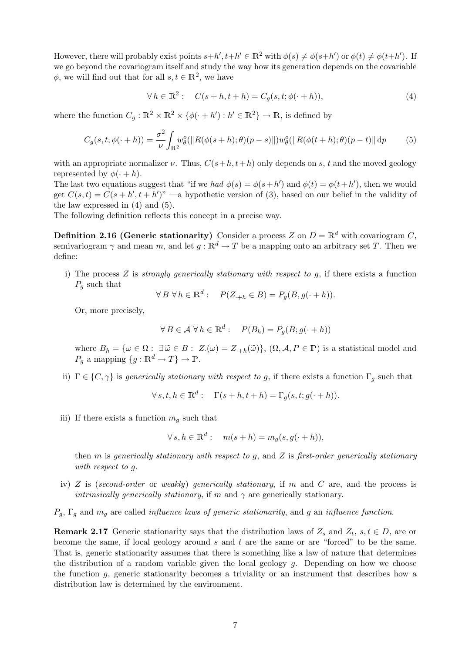However, there will probably exist points  $s+h', t+h' \in \mathbb{R}^2$  with  $\phi(s) \neq \phi(s+h')$  or  $\phi(t) \neq \phi(t+h')$ . If we go beyond the covariogram itself and study the way how its generation depends on the covariable  $\phi$ , we will find out that for all  $s, t \in \mathbb{R}^2$ , we have

$$
\forall h \in \mathbb{R}^2: \quad C(s+h, t+h) = C_g(s, t; \phi(\cdot + h)), \tag{4}
$$

where the function  $C_g : \mathbb{R}^2 \times \mathbb{R}^2 \times \{ \phi(\cdot + h') : h' \in \mathbb{R}^2 \} \to \mathbb{R}$ , is defined by

$$
C_g(s,t;\phi(\cdot+h)) = \frac{\sigma^2}{\nu} \int_{\mathbb{R}^2} w_\theta^o(\|R(\phi(s+h);\theta)(p-s)\|)w_\theta^o(\|R(\phi(t+h);\theta)(p-t)\| \, \mathrm{d}p \tag{5}
$$

with an appropriate normalizer  $\nu$ . Thus,  $C(s+h, t+h)$  only depends on s, t and the moved geology represented by  $\phi(\cdot + h)$ .

The last two equations suggest that "if we had  $\phi(s) = \phi(s+h')$  and  $\phi(t) = \phi(t+h')$ , then we would get  $C(s,t) = C(s+h',t+h')'$  —a hypothetic version of (3), based on our belief in the validity of the law expressed in (4) and (5).

The following definition reflects this concept in a precise way.

**Definition 2.16 (Generic stationarity)** Consider a process Z on  $D = \mathbb{R}^d$  with covariogram C, semivariogram  $\gamma$  and mean m, and let  $g : \mathbb{R}^d \to T$  be a mapping onto an arbitrary set T. Then we define:

i) The process  $Z$  is strongly generically stationary with respect to  $g$ , if there exists a function  $P<sub>q</sub>$  such that

$$
\forall B \ \forall h \in \mathbb{R}^d : \quad P(Z_{+h} \in B) = P_g(B, g(\cdot + h)).
$$

Or, more precisely,

$$
\forall B \in \mathcal{A} \,\,\forall \, h \in \mathbb{R}^d: \quad P(B_h) = P_g(B; g(\cdot + h))
$$

where  $B_h = \{ \omega \in \Omega : \exists \tilde{\omega} \in B : Z(\omega) = Z_{+h}(\tilde{\omega}) \}, (\Omega, \mathcal{A}, P \in \mathbb{P})$  is a statistical model and  $P_g$  a mapping  $\{ g : \mathbb{R}^d \to T \} \to \mathbb{P}$ .

ii)  $\Gamma \in \{C, \gamma\}$  is generically stationary with respect to g, if there exists a function  $\Gamma_g$  such that

 $\forall s, t, h \in \mathbb{R}^d: \quad \Gamma(s+h, t+h) = \Gamma_g(s, t; g(\cdot + h)).$ 

iii) If there exists a function  $m<sub>g</sub>$  such that

$$
\forall s, h \in \mathbb{R}^d : \quad m(s+h) = m_g(s, g(\cdot + h)),
$$

then m is generically stationary with respect to q, and  $Z$  is first-order generically stationary with respect to g.

iv)  $Z$  is (second-order or weakly) generically stationary, if m and  $C$  are, and the process is *intrinsically generically stationary*, if m and  $\gamma$  are generically stationary.

 $P_q$ ,  $\Gamma_q$  and  $m_q$  are called *influence laws of generic stationarity*, and g an *influence function*.

**Remark 2.17** Generic stationarity says that the distribution laws of  $Z_s$  and  $Z_t$ ,  $s, t \in D$ , are or become the same, if local geology around s and t are the same or are "forced" to be the same. That is, generic stationarity assumes that there is something like a law of nature that determines the distribution of a random variable given the local geology  $q$ . Depending on how we choose the function g, generic stationarity becomes a triviality or an instrument that describes how a distribution law is determined by the environment.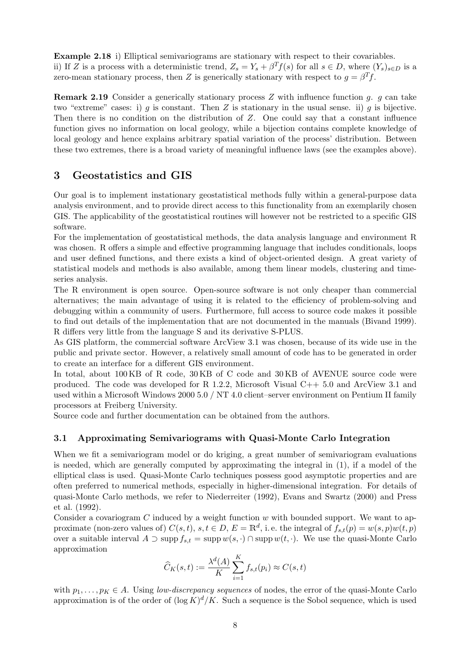Example 2.18 i) Elliptical semivariograms are stationary with respect to their covariables. ii) If Z is a process with a deterministic trend,  $Z_s = Y_s + \beta^T f(s)$  for all  $s \in D$ , where  $(Y_s)_{s \in D}$  is a zero-mean stationary process, then Z is generically stationary with respect to  $g = \beta^T f$ .

**Remark 2.19** Consider a generically stationary process  $Z$  with influence function  $g$ .  $g$  can take two "extreme" cases: i) g is constant. Then Z is stationary in the usual sense. ii) g is bijective. Then there is no condition on the distribution of  $Z$ . One could say that a constant influence function gives no information on local geology, while a bijection contains complete knowledge of local geology and hence explains arbitrary spatial variation of the process' distribution. Between these two extremes, there is a broad variety of meaningful influence laws (see the examples above).

## 3 Geostatistics and GIS

Our goal is to implement instationary geostatistical methods fully within a general-purpose data analysis environment, and to provide direct access to this functionality from an exemplarily chosen GIS. The applicability of the geostatistical routines will however not be restricted to a specific GIS software.

For the implementation of geostatistical methods, the data analysis language and environment R was chosen. R offers a simple and effective programming language that includes conditionals, loops and user defined functions, and there exists a kind of object-oriented design. A great variety of statistical models and methods is also available, among them linear models, clustering and timeseries analysis.

The R environment is open source. Open-source software is not only cheaper than commercial alternatives; the main advantage of using it is related to the efficiency of problem-solving and debugging within a community of users. Furthermore, full access to source code makes it possible to find out details of the implementation that are not documented in the manuals (Bivand 1999). R differs very little from the language S and its derivative S-PLUS.

As GIS platform, the commercial software ArcView 3.1 was chosen, because of its wide use in the public and private sector. However, a relatively small amount of code has to be generated in order to create an interface for a different GIS environment.

In total, about  $100 \text{ KB of R code}$ ,  $30 \text{ KB of C code}$  and  $30 \text{ KB of AVENUE}$  source code were produced. The code was developed for R 1.2.2, Microsoft Visual  $C++ 5.0$  and ArcView 3.1 and used within a Microsoft Windows 2000 5.0 / NT 4.0 client–server environment on Pentium II family processors at Freiberg University.

Source code and further documentation can be obtained from the authors.

### 3.1 Approximating Semivariograms with Quasi-Monte Carlo Integration

When we fit a semivariogram model or do kriging, a great number of semivariogram evaluations is needed, which are generally computed by approximating the integral in (1), if a model of the elliptical class is used. Quasi-Monte Carlo techniques possess good asymptotic properties and are often preferred to numerical methods, especially in higher-dimensional integration. For details of quasi-Monte Carlo methods, we refer to Niederreiter (1992), Evans and Swartz (2000) and Press et al. (1992).

Consider a covariogram  $C$  induced by a weight function  $w$  with bounded support. We want to approximate (non-zero values of)  $C(s,t)$ ,  $s,t \in D$ ,  $E = \mathbb{R}^d$ , i.e. the integral of  $f_{s,t}(p) = w(s,p)w(t,p)$ over a suitable interval  $A \supset \text{supp } f_{s,t} = \text{supp } w(s, \cdot) \cap \text{supp } w(t, \cdot)$ . We use the quasi-Monte Carlo approximation

$$
\widehat{C}_K(s,t) := \frac{\lambda^d(A)}{K} \sum_{i=1}^K f_{s,t}(p_i) \approx C(s,t)
$$

with  $p_1, \ldots, p_K \in A$ . Using low-discrepancy sequences of nodes, the error of the quasi-Monte Carlo approximation is of the order of  $(\log K)^d/K$ . Such a sequence is the Sobol sequence, which is used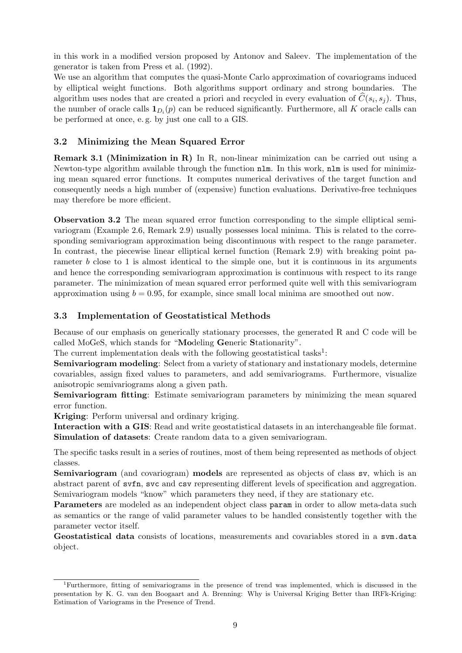in this work in a modified version proposed by Antonov and Saleev. The implementation of the generator is taken from Press et al. (1992).

We use an algorithm that computes the quasi-Monte Carlo approximation of covariograms induced by elliptical weight functions. Both algorithms support ordinary and strong boundaries. The algorithm uses nodes that are created a priori and recycled in every evaluation of  $C(s_i, s_j)$ . Thus, the number of oracle calls  $\mathbf{1}_{D_i}(p)$  can be reduced significantly. Furthermore, all K oracle calls can be performed at once, e. g. by just one call to a GIS.

### 3.2 Minimizing the Mean Squared Error

**Remark 3.1 (Minimization in R)** In R, non-linear minimization can be carried out using a Newton-type algorithm available through the function nlm. In this work, nlm is used for minimizing mean squared error functions. It computes numerical derivatives of the target function and consequently needs a high number of (expensive) function evaluations. Derivative-free techniques may therefore be more efficient.

Observation 3.2 The mean squared error function corresponding to the simple elliptical semivariogram (Example 2.6, Remark 2.9) usually possesses local minima. This is related to the corresponding semivariogram approximation being discontinuous with respect to the range parameter. In contrast, the piecewise linear elliptical kernel function (Remark 2.9) with breaking point parameter  $b$  close to 1 is almost identical to the simple one, but it is continuous in its arguments and hence the corresponding semivariogram approximation is continuous with respect to its range parameter. The minimization of mean squared error performed quite well with this semivariogram approximation using  $b = 0.95$ , for example, since small local minima are smoothed out now.

### 3.3 Implementation of Geostatistical Methods

Because of our emphasis on generically stationary processes, the generated R and C code will be called MoGeS, which stands for "Modeling Generic Stationarity".

The current implementation deals with the following geostatistical tasks<sup>1</sup>:

Semivariogram modeling: Select from a variety of stationary and instationary models, determine covariables, assign fixed values to parameters, and add semivariograms. Furthermore, visualize anisotropic semivariograms along a given path.

Semivariogram fitting: Estimate semivariogram parameters by minimizing the mean squared error function.

Kriging: Perform universal and ordinary kriging.

Interaction with a GIS: Read and write geostatistical datasets in an interchangeable file format. Simulation of datasets: Create random data to a given semivariogram.

The specific tasks result in a series of routines, most of them being represented as methods of object classes.

Semivariogram (and covariogram) models are represented as objects of class sv, which is an abstract parent of svfn, svc and csv representing different levels of specification and aggregation. Semivariogram models "know" which parameters they need, if they are stationary etc.

Parameters are modeled as an independent object class param in order to allow meta-data such as semantics or the range of valid parameter values to be handled consistently together with the parameter vector itself.

Geostatistical data consists of locations, measurements and covariables stored in a svm.data object.

<sup>1</sup>Furthermore, fitting of semivariograms in the presence of trend was implemented, which is discussed in the presentation by K. G. van den Boogaart and A. Brenning: Why is Universal Kriging Better than IRFk-Kriging: Estimation of Variograms in the Presence of Trend.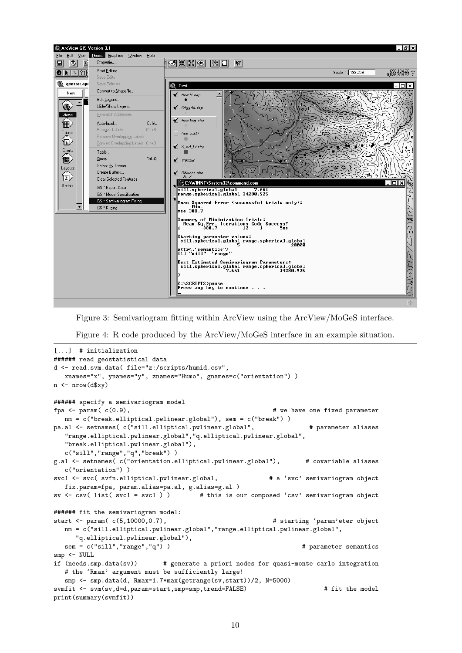

Figure 3: Semivariogram fitting within ArcView using the ArcView/MoGeS interface.

Figure 4: R code produced by the ArcView/MoGeS interface in an example situation.

```
[...] # initialization
###### read geostatistical data
d <- read.svm.data( file="z:/scripts/humid.csv",
  xnames="x", ynames="y", znames="Humo", gnames=c("orientation") )
n <- nrow(d$xy)
###### specify a semivariogram model
fpa <- param( c(0.9), \qquad # we have one fixed parameter
  nm = c("break.elliptical.pwlinear.global"), sem = c("break") )
pa.al <- setnames( c("sill.elliptical.pwlinear.global", \qquad # parameter aliases
   "range.elliptical.pwlinear.global","q.elliptical.pwlinear.global",
   "break.elliptical.pwlinear.global"),
  c("sill","range","q","break") )
g.al <- setnames( c("orientation.elliptical.pwlinear.global"), # covariable aliases
  c("orientation") )
svc1 <- svc( svfn.elliptical.pwlinear.global, # a 'svc' semivariogram object
  fix.param=fpa, param.alias=pa.al, g.alias=g.al )
sv <- csv( list( svc1 = svc1 ) ) # this is our composed 'csv' semivariogram object
###### fit the semivariogram model:
start <- param(c(5,10000,0.7), \qquad \qquad \qquad # starting 'param'eter object
  nm = c("sill.elliptical.pwlinear.global","range.elliptical.pwlinear.global",
     "q.elliptical.pwlinear.global"),
  sem = c("sill","range","q") ) # parameter semantics
smp <- NULL
if (needs.smp.data(sv)) # generate a priori nodes for quasi-monte carlo integration
  # the 'Rmax' argument must be sufficiently large!
  smp <- smp.data(d, Rmax=1.7*max(getrange(sv,start))/2, N=5000)
svmfit <- svm(sv,d=d,param=start,smp=smp,trend=FALSE) # fit the model
print(summary(svmfit))
```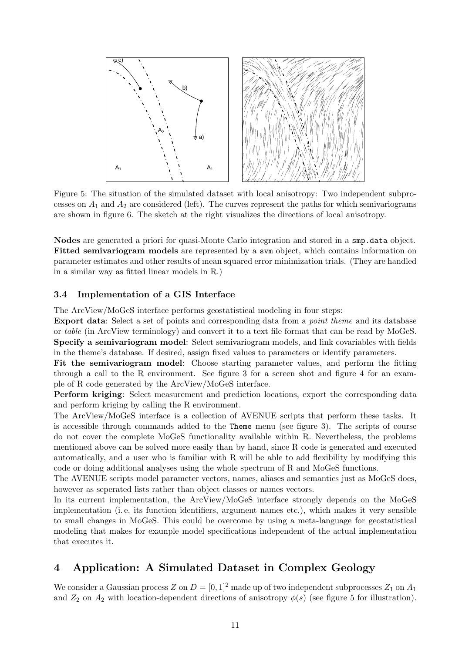

Figure 5: The situation of the simulated dataset with local anisotropy: Two independent subprocesses on  $A_1$  and  $A_2$  are considered (left). The curves represent the paths for which semivariograms are shown in figure 6. The sketch at the right visualizes the directions of local anisotropy.

Nodes are generated a priori for quasi-Monte Carlo integration and stored in a smp.data object. Fitted semivariogram models are represented by a svm object, which contains information on parameter estimates and other results of mean squared error minimization trials. (They are handled in a similar way as fitted linear models in R.)

### 3.4 Implementation of a GIS Interface

The ArcView/MoGeS interface performs geostatistical modeling in four steps:

Export data: Select a set of points and corresponding data from a *point theme* and its database or table (in ArcView terminology) and convert it to a text file format that can be read by MoGeS. Specify a semivariogram model: Select semivariogram models, and link covariables with fields in the theme's database. If desired, assign fixed values to parameters or identify parameters.

Fit the semivariogram model: Choose starting parameter values, and perform the fitting through a call to the R environment. See figure 3 for a screen shot and figure 4 for an example of R code generated by the ArcView/MoGeS interface.

Perform kriging: Select measurement and prediction locations, export the corresponding data and perform kriging by calling the R environment.

The ArcView/MoGeS interface is a collection of AVENUE scripts that perform these tasks. It is accessible through commands added to the Theme menu (see figure 3). The scripts of course do not cover the complete MoGeS functionality available within R. Nevertheless, the problems mentioned above can be solved more easily than by hand, since R code is generated and executed automatically, and a user who is familiar with R will be able to add flexibility by modifying this code or doing additional analyses using the whole spectrum of R and MoGeS functions.

The AVENUE scripts model parameter vectors, names, aliases and semantics just as MoGeS does, however as seperated lists rather than object classes or names vectors.

In its current implementation, the ArcView/MoGeS interface strongly depends on the MoGeS implementation (i. e. its function identifiers, argument names etc.), which makes it very sensible to small changes in MoGeS. This could be overcome by using a meta-language for geostatistical modeling that makes for example model specifications independent of the actual implementation that executes it.

# 4 Application: A Simulated Dataset in Complex Geology

We consider a Gaussian process Z on  $D = [0, 1]^2$  made up of two independent subprocesses  $Z_1$  on  $A_1$ and  $Z_2$  on  $A_2$  with location-dependent directions of anisotropy  $\phi(s)$  (see figure 5 for illustration).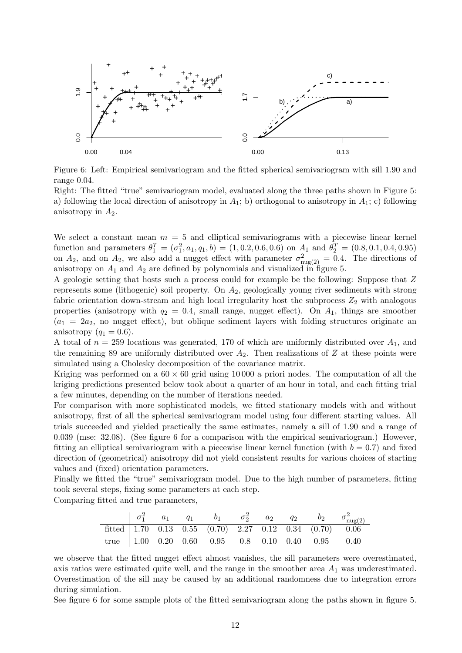

Figure 6: Left: Empirical semivariogram and the fitted spherical semivariogram with sill 1.90 and range 0.04.

Right: The fitted "true" semivariogram model, evaluated along the three paths shown in Figure 5: a) following the local direction of anisotropy in  $A_1$ ; b) orthogonal to anisotropy in  $A_1$ ; c) following anisotropy in  $A_2$ .

We select a constant mean  $m = 5$  and elliptical semivariograms with a piecewise linear kernel function and parameters  $\theta_1^T = (\sigma_1^2, a_1, q_1, b) = (1, 0.2, 0.6, 0.6)$  on  $A_1$  and  $\theta_2^T = (0.8, 0.1, 0.4, 0.95)$ on  $A_2$ , and on  $A_2$ , we also add a nugget effect with parameter  $\sigma_{\text{nug}(2)}^2 = 0.4$ . The directions of anisotropy on  $A_1$  and  $A_2$  are defined by polynomials and visualized in figure 5.

A geologic setting that hosts such a process could for example be the following: Suppose that Z represents some (lithogenic) soil property. On  $A_2$ , geologically young river sediments with strong fabric orientation down-stream and high local irregularity host the subprocess  $Z_2$  with analogous properties (anisotropy with  $q_2 = 0.4$ , small range, nugget effect). On  $A_1$ , things are smoother  $(a_1 = 2a_2, a_2)$  no nugget effect), but oblique sediment layers with folding structures originate an anisotropy  $(q_1 = 0.6)$ .

A total of  $n = 259$  locations was generated, 170 of which are uniformly distributed over  $A_1$ , and the remaining 89 are uniformly distributed over  $A_2$ . Then realizations of Z at these points were simulated using a Cholesky decomposition of the covariance matrix.

Kriging was performed on a  $60 \times 60$  grid using 10000 a priori nodes. The computation of all the kriging predictions presented below took about a quarter of an hour in total, and each fitting trial a few minutes, depending on the number of iterations needed.

For comparison with more sophisticated models, we fitted stationary models with and without anisotropy, first of all the spherical semivariogram model using four different starting values. All trials succeeded and yielded practically the same estimates, namely a sill of 1.90 and a range of 0.039 (mse: 32.08). (See figure 6 for a comparison with the empirical semivariogram.) However, fitting an elliptical semivariogram with a piecewise linear kernel function (with  $b = 0.7$ ) and fixed direction of (geometrical) anisotropy did not yield consistent results for various choices of starting values and (fixed) orientation parameters.

Finally we fitted the "true" semivariogram model. Due to the high number of parameters, fitting took several steps, fixing some parameters at each step.

Comparing fitted and true parameters,

|  |  |                                                             |  |  | $\int \sigma_1^2 \quad a_1 \quad q_1 \quad b_1 \quad \sigma_2^2 \quad a_2 \quad q_2 \quad b_2 \quad \sigma_{\text{nug}(2)}^2$ |
|--|--|-------------------------------------------------------------|--|--|-------------------------------------------------------------------------------------------------------------------------------|
|  |  | fitted 1.70 0.13 0.55 $(0.70)$ 2.27 0.12 0.34 $(0.70)$ 0.06 |  |  |                                                                                                                               |
|  |  | true 1.00 0.20 0.60 0.95 0.8 0.10 0.40 0.95 0.40            |  |  |                                                                                                                               |

we observe that the fitted nugget effect almost vanishes, the sill parameters were overestimated, axis ratios were estimated quite well, and the range in the smoother area  $A_1$  was underestimated. Overestimation of the sill may be caused by an additional randomness due to integration errors during simulation.

See figure 6 for some sample plots of the fitted semivariogram along the paths shown in figure 5.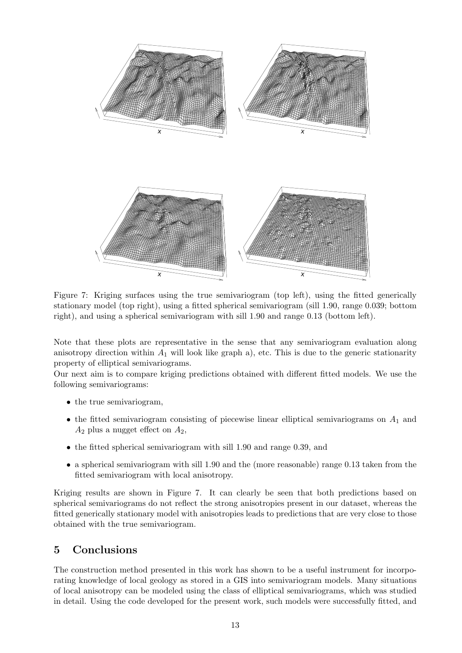

Figure 7: Kriging surfaces using the true semivariogram (top left), using the fitted generically stationary model (top right), using a fitted spherical semivariogram (sill 1.90, range 0.039; bottom right), and using a spherical semivariogram with sill 1.90 and range 0.13 (bottom left).

Note that these plots are representative in the sense that any semivariogram evaluation along anisotropy direction within  $A_1$  will look like graph a), etc. This is due to the generic stationarity property of elliptical semivariograms.

Our next aim is to compare kriging predictions obtained with different fitted models. We use the following semivariograms:

- the true semivariogram,
- the fitted semivariogram consisting of piecewise linear elliptical semivariograms on  $A_1$  and  $A_2$  plus a nugget effect on  $A_2$ ,
- the fitted spherical semivariogram with sill 1.90 and range 0.39, and
- a spherical semivariogram with sill 1.90 and the (more reasonable) range 0.13 taken from the fitted semivariogram with local anisotropy.

Kriging results are shown in Figure 7. It can clearly be seen that both predictions based on spherical semivariograms do not reflect the strong anisotropies present in our dataset, whereas the fitted generically stationary model with anisotropies leads to predictions that are very close to those obtained with the true semivariogram.

## 5 Conclusions

The construction method presented in this work has shown to be a useful instrument for incorporating knowledge of local geology as stored in a GIS into semivariogram models. Many situations of local anisotropy can be modeled using the class of elliptical semivariograms, which was studied in detail. Using the code developed for the present work, such models were successfully fitted, and